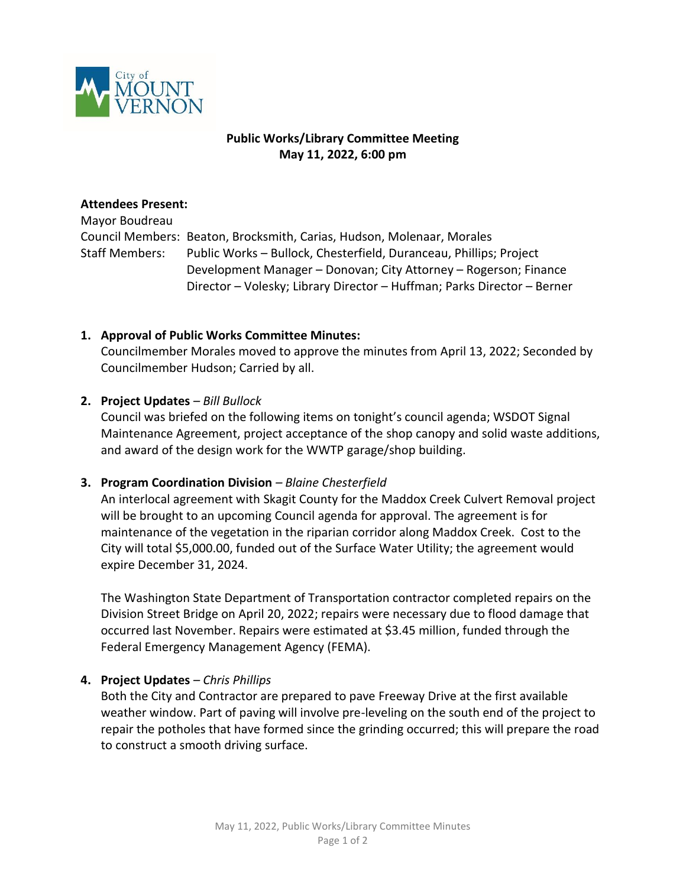

# **Public Works/Library Committee Meeting May 11, 2022, 6:00 pm**

#### **Attendees Present:**

Mayor Boudreau Council Members: Beaton, Brocksmith, Carias, Hudson, Molenaar, Morales Staff Members: Public Works – Bullock, Chesterfield, Duranceau, Phillips; Project Development Manager – Donovan; City Attorney – Rogerson; Finance Director – Volesky; Library Director – Huffman; Parks Director – Berner

#### **1. Approval of Public Works Committee Minutes:**

Councilmember Morales moved to approve the minutes from April 13, 2022; Seconded by Councilmember Hudson; Carried by all.

#### **2. Project Updates** *– Bill Bullock*

Council was briefed on the following items on tonight's council agenda; WSDOT Signal Maintenance Agreement, project acceptance of the shop canopy and solid waste additions, and award of the design work for the WWTP garage/shop building.

# **3. Program Coordination Division** *– Blaine Chesterfield*

An interlocal agreement with Skagit County for the Maddox Creek Culvert Removal project will be brought to an upcoming Council agenda for approval. The agreement is for maintenance of the vegetation in the riparian corridor along Maddox Creek. Cost to the City will total \$5,000.00, funded out of the Surface Water Utility; the agreement would expire December 31, 2024.

The Washington State Department of Transportation contractor completed repairs on the Division Street Bridge on April 20, 2022; repairs were necessary due to flood damage that occurred last November. Repairs were estimated at \$3.45 million, funded through the Federal Emergency Management Agency (FEMA).

# **4. Project Updates** *– Chris Phillips*

Both the City and Contractor are prepared to pave Freeway Drive at the first available weather window. Part of paving will involve pre-leveling on the south end of the project to repair the potholes that have formed since the grinding occurred; this will prepare the road to construct a smooth driving surface.